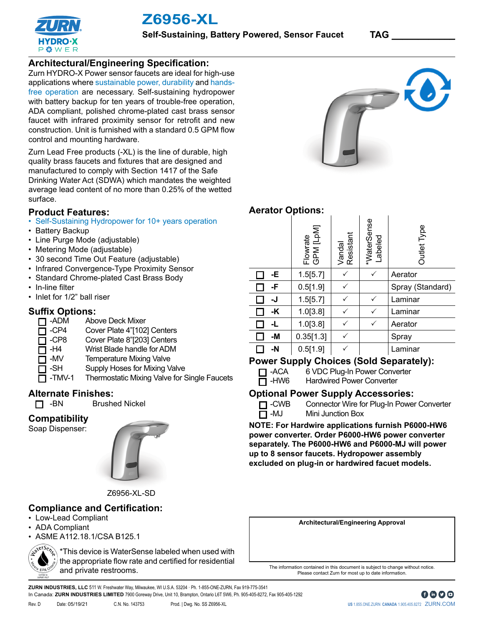



## **Architectural/Engineering Specification:**

Zurn HYDRO-X Power sensor faucets are ideal for high-use applications where sustainable power, durability and handsfree operation are necessary. Self-sustaining hydropower with battery backup for ten years of trouble-free operation, ADA compliant, polished chrome-plated cast brass sensor faucet with infrared proximity sensor for retrofit and new construction. Unit is furnished with a standard 0.5 GPM flow control and mounting hardware.

Zurn Lead Free products (-XL) is the line of durable, high quality brass faucets and fixtures that are designed and manufactured to comply with Section 1417 of the Safe Drinking Water Act (SDWA) which mandates the weighted average lead content of no more than 0.25% of the wetted surface.

#### **Product Features:**

- Self-Sustaining Hydropower for 10+ years operation
- Battery Backup
- Line Purge Mode (adjustable)
- Metering Mode (adjustable)
- 30 second Time Out Feature (adjustable)
- Infrared Convergence-Type Proximity Sensor
- Standard Chrome-plated Cast Brass Body
- In-line filter
- Inlet for 1/2" ball riser

#### **Suffix Options:**

- **-ADM** Above Deck Mixer
- □ -CP4 Cover Plate 4"[102] Centers<br>□ -CP8 Cover Plate 8"[203] Centers
- □ -CP8 Cover Plate 8"[203] Centers<br>□ -H4 Wrist Blade handle for ADM
	- Wrist Blade handle for ADM
	- -MV Temperature Mixing Valve
- □ -SH Supply Hoses for Mixing Valve

**Brushed Nickel** 

T -TMV-1 Thermostatic Mixing Valve for Single Faucets

# **Alternate Finishes:**<br> **CI** -BN Brushe

П

#### **Compatibility**

Soap Dispenser:



Z6956-XL-SD

## **Compliance and Certification:**

- Low-Lead Compliant
- ADA Compliant
- ASME A112.18.1/CSA B125.1

\*This device is WaterSense labeled when used with the appropriate flow rate and certified for residential S EPA ON and private restrooms.



# **Aerator Options:**

|    | Flowrate<br>GPM [LpM] | Vandal<br>Resistant | *WaterSense<br>Labeled | Outlet Type      |
|----|-----------------------|---------------------|------------------------|------------------|
| -E | 1.5[5.7]              |                     |                        | Aerator          |
| -F | 0.5[1.9]              |                     |                        | Spray (Standard) |
| -J | 1.5[5.7]              |                     |                        | Laminar          |
| -K | 1.0[3.8]              |                     | $\checkmark$           | Laminar          |
| -L | 1.0[3.8]              |                     |                        | Aerator          |
| -M | 0.35[1.3]             |                     |                        | Spray            |
| -N | 0.5[1.9]              |                     |                        | Laminar          |

## **Power Supply Choices (Sold Separately):**

□ -ACA 6 VDC Plug-In Power Converter

 $\Box$ -HW6 Hardwired Power Converter

#### **Optional Power Supply Accessories:**

□ -CWB Connector Wire for Plug-In Power Converter

 $\overline{\Box}$  -MJ Mini Junction Box

**NOTE: For Hardwire applications furnish P6000-HW6 power converter. Order P6000-HW6 power converter separately. The P6000-HW6 and P6000-MJ will power up to 8 sensor faucets. Hydropower assembly excluded on plug-in or hardwired facuet models.** 

**Architectural/Engineering Approval**

The information contained in this document is subject to change without notice. Please contact Zurn for most up to date information.

**ZURN INDUSTRIES, LLC** 511 W. Freshwater Way, Milwaukee, WI U.S.A. 53204 · Ph. 1-855-ONE-ZURN, Fax 919-775-3541 In Canada: **ZURN INDUSTRIES LIMITED** 7900 Goreway Drive, Unit 10, Brampton, Ontario L6T 5W6, Ph. 905-405-8272, Fax 905-405-1292